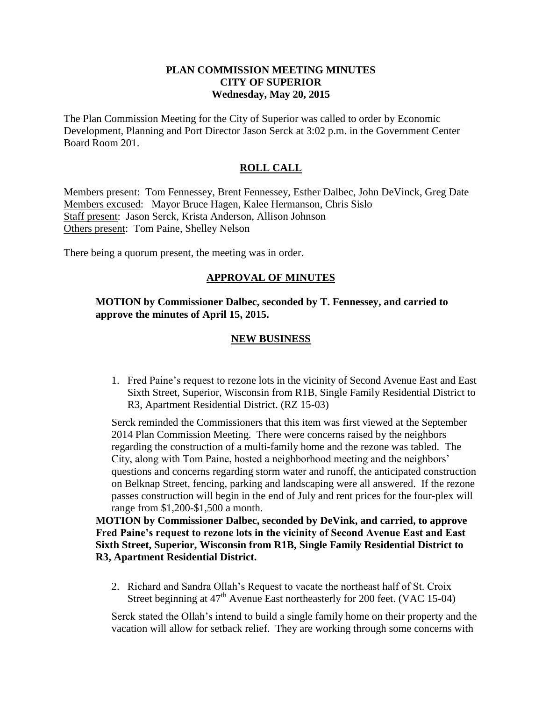# **PLAN COMMISSION MEETING MINUTES CITY OF SUPERIOR Wednesday, May 20, 2015**

The Plan Commission Meeting for the City of Superior was called to order by Economic Development, Planning and Port Director Jason Serck at 3:02 p.m. in the Government Center Board Room 201.

# **ROLL CALL**

Members present: Tom Fennessey, Brent Fennessey, Esther Dalbec, John DeVinck, Greg Date Members excused: Mayor Bruce Hagen, Kalee Hermanson, Chris Sislo Staff present: Jason Serck, Krista Anderson, Allison Johnson Others present: Tom Paine, Shelley Nelson

There being a quorum present, the meeting was in order.

# **APPROVAL OF MINUTES**

**MOTION by Commissioner Dalbec, seconded by T. Fennessey, and carried to approve the minutes of April 15, 2015.** 

### **NEW BUSINESS**

1. Fred Paine's request to rezone lots in the vicinity of Second Avenue East and East Sixth Street, Superior, Wisconsin from R1B, Single Family Residential District to R3, Apartment Residential District. (RZ 15-03)

Serck reminded the Commissioners that this item was first viewed at the September 2014 Plan Commission Meeting. There were concerns raised by the neighbors regarding the construction of a multi-family home and the rezone was tabled. The City, along with Tom Paine, hosted a neighborhood meeting and the neighbors' questions and concerns regarding storm water and runoff, the anticipated construction on Belknap Street, fencing, parking and landscaping were all answered. If the rezone passes construction will begin in the end of July and rent prices for the four-plex will range from \$1,200-\$1,500 a month.

**MOTION by Commissioner Dalbec, seconded by DeVink, and carried, to approve Fred Paine's request to rezone lots in the vicinity of Second Avenue East and East Sixth Street, Superior, Wisconsin from R1B, Single Family Residential District to R3, Apartment Residential District.**

2. Richard and Sandra Ollah's Request to vacate the northeast half of St. Croix Street beginning at  $47<sup>th</sup>$  Avenue East northeasterly for 200 feet. (VAC 15-04)

Serck stated the Ollah's intend to build a single family home on their property and the vacation will allow for setback relief. They are working through some concerns with